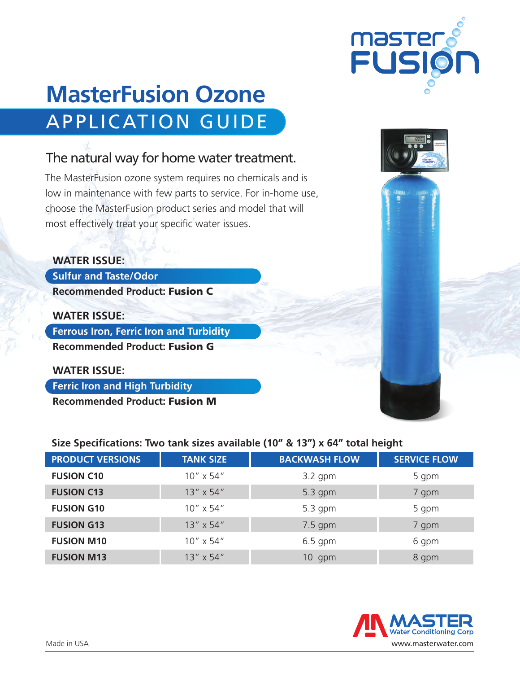# **MasterFusion Ozone**  APPLICATION GUIDE

## The natural way for home water treatment.

The MasterFusion ozone system requires no chemicals and is low in maintenance with few parts to service. For in-home use, choose the MasterFusion product series and model that will most effectively treat your specific water issues.

### **WATER ISSUE:**

**Sulfur and Taste/Odor Recommended Product:** Fusion C

**WATER ISSUE: Ferrous Iron, Ferric Iron and Turbidity Recommended Product:** Fusion G

**WATER ISSUE:** 

**Ferric Iron and High Turbidity**

**Recommended Product:** Fusion M

| Size Specifications: Two tank sizes available (10" & 13") x 64" total height |                    |                      |                     |  |  |  |  |  |
|------------------------------------------------------------------------------|--------------------|----------------------|---------------------|--|--|--|--|--|
| <b>PRODUCT VERSIONS</b>                                                      | <b>TANK SIZE</b>   | <b>BACKWASH FLOW</b> | <b>SERVICE FLOW</b> |  |  |  |  |  |
| <b>FUSION C10</b>                                                            | 10" x 54"          | $3.2$ gpm            | 5 gpm               |  |  |  |  |  |
| <b>FUSION C13</b>                                                            | $13'' \times 54''$ | 5.3 gpm              | 7 gpm               |  |  |  |  |  |
| <b>FUSION G10</b>                                                            | $10'' \times 54''$ | $5.3$ gpm            | 5 gpm               |  |  |  |  |  |
| <b>FUSION G13</b>                                                            | $13'' \times 54''$ | $7.5$ gpm            | 7 gpm               |  |  |  |  |  |
| <b>FUSION M10</b>                                                            | $10'' \times 54''$ | $6.5$ gpm            | 6 gpm               |  |  |  |  |  |
| <b>FUSION M13</b>                                                            | $13'' \times 54''$ | $10$ gpm             | 8 gpm               |  |  |  |  |  |

## **Water Conditioning Corp** Made in USA www.masterwater.com